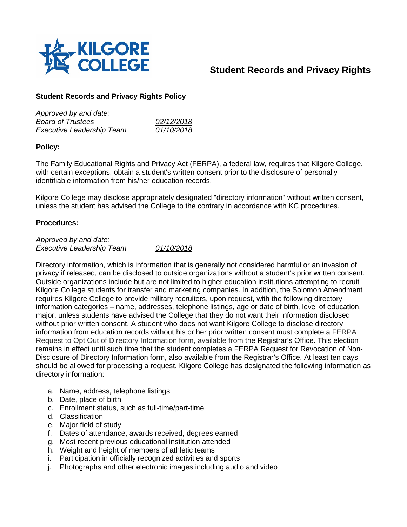

# **Student Records and Privacy Rights**

# **Student Records and Privacy Rights Policy**

| Approved by and date:            |            |
|----------------------------------|------------|
| <b>Board of Trustees</b>         | 02/12/2018 |
| <b>Executive Leadership Team</b> | 01/10/2018 |

# **Policy:**

The Family Educational Rights and Privacy Act (FERPA), a federal law, requires that Kilgore College, with certain exceptions, obtain a student's written consent prior to the disclosure of personally identifiable information from his/her education records.

Kilgore College may disclose appropriately designated "directory information" without written consent, unless the student has advised the College to the contrary in accordance with KC procedures.

### **Procedures:**

*Approved by and date: Executive Leadership Team 01/10/2018*

Directory information, which is information that is generally not considered harmful or an invasion of privacy if released, can be disclosed to outside organizations without a student's prior written consent. Outside organizations include but are not limited to higher education institutions attempting to recruit Kilgore College students for transfer and marketing companies. In addition, the Solomon Amendment requires Kilgore College to provide military recruiters, upon request, with the following directory information categories – name, addresses, telephone listings, age or date of birth, level of education, major, unless students have advised the College that they do not want their information disclosed without prior written consent. A student who does not want Kilgore College to disclose directory information from education records without his or her prior written consent must complete a FERPA Request to Opt Out of Directory Information form, available from the Registrar's Office. This election remains in effect until such time that the student completes a FERPA Request for Revocation of Non-Disclosure of Directory Information form, also available from the Registrar's Office. At least ten days should be allowed for processing a request. Kilgore College has designated the following information as directory information:

- a. Name, address, telephone listings
- b. Date, place of birth
- c. Enrollment status, such as full-time/part-time
- d. Classification
- e. Major field of study
- f. Dates of attendance, awards received, degrees earned
- g. Most recent previous educational institution attended
- h. Weight and height of members of athletic teams
- i. Participation in officially recognized activities and sports
- j. Photographs and other electronic images including audio and video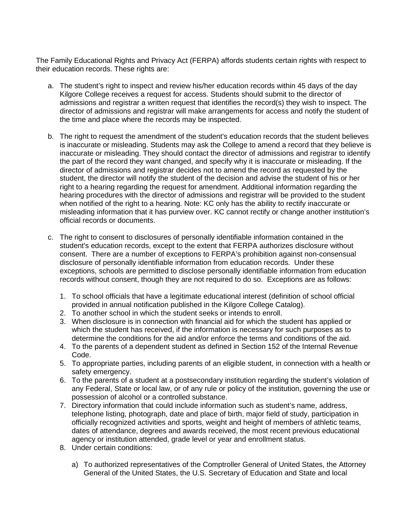The Family Educational Rights and Privacy Act (FERPA) affords students certain rights with respect to their education records. These rights are:

- a. The student's right to inspect and review his/her education records within 45 days of the day Kilgore College receives a request for access. Students should submit to the director of admissions and registrar a written request that identifies the record(s) they wish to inspect. The director of admissions and registrar will make arrangements for access and notify the student of the time and place where the records may be inspected.
- b. The right to request the amendment of the student's education records that the student believes is inaccurate or misleading. Students may ask the College to amend a record that they believe is inaccurate or misleading. They should contact the director of admissions and registrar to identify the part of the record they want changed, and specify why it is inaccurate or misleading. If the director of admissions and registrar decides not to amend the record as requested by the student, the director will notify the student of the decision and advise the student of his or her right to a hearing regarding the request for amendment. Additional information regarding the hearing procedures with the director of admissions and registrar will be provided to the student when notified of the right to a hearing. Note: KC only has the ability to rectify inaccurate or misleading information that it has purview over. KC cannot rectify or change another institution's official records or documents.
- c. The right to consent to disclosures of personally identifiable information contained in the student's education records, except to the extent that FERPA authorizes disclosure without consent. There are a number of exceptions to FERPA's prohibition against non-consensual disclosure of personally identifiable information from education records. Under these exceptions, schools are permitted to disclose personally identifiable information from education records without consent, though they are not required to do so. Exceptions are as follows:
	- 1. To school officials that have a legitimate educational interest (definition of school official provided in annual notification published in the Kilgore College Catalog).
	- 2. To another school in which the student seeks or intends to enroll.
	- 3. When disclosure is in connection with financial aid for which the student has applied or which the student has received, if the information is necessary for such purposes as to determine the conditions for the aid and/or enforce the terms and conditions of the aid.
	- 4. To the parents of a dependent student as defined in Section 152 of the Internal Revenue Code.
	- 5. To appropriate parties, including parents of an eligible student, in connection with a health or safety emergency.
	- 6. To the parents of a student at a postsecondary institution regarding the student's violation of any Federal, State or local law, or of any rule or policy of the institution, governing the use or possession of alcohol or a controlled substance.
	- 7. Directory information that could include information such as student's name, address, telephone listing, photograph, date and place of birth, major field of study, participation in officially recognized activities and sports, weight and height of members of athletic teams, dates of attendance, degrees and awards received, the most recent previous educational agency or institution attended, grade level or year and enrollment status.
	- 8. Under certain conditions:
		- a) To authorized representatives of the Comptroller General of United States, the Attorney General of the United States, the U.S. Secretary of Education and State and local